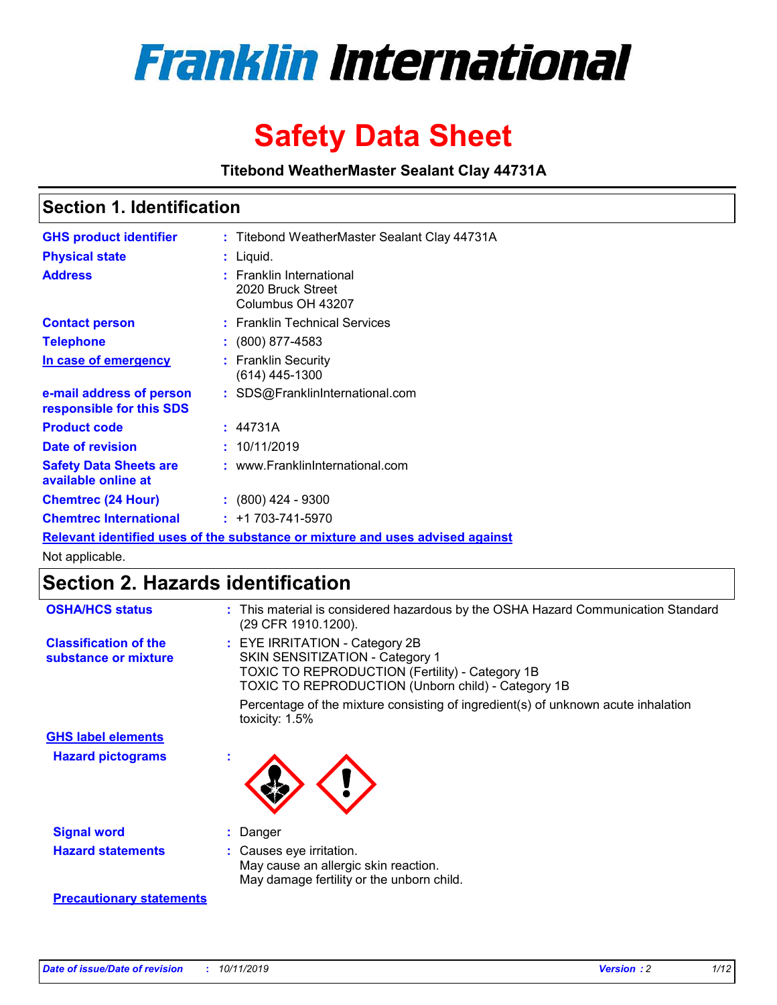

# **Safety Data Sheet**

**Titebond WeatherMaster Sealant Clay 44731A**

### **Section 1. Identification**

| <b>GHS product identifier</b>                        | : Titebond WeatherMaster Sealant Clay 44731A                                  |
|------------------------------------------------------|-------------------------------------------------------------------------------|
| <b>Physical state</b>                                | : Liquid.                                                                     |
| <b>Address</b>                                       | : Franklin International<br>2020 Bruck Street<br>Columbus OH 43207            |
| <b>Contact person</b>                                | : Franklin Technical Services                                                 |
| <b>Telephone</b>                                     | $\colon$ (800) 877-4583                                                       |
| In case of emergency                                 | : Franklin Security<br>(614) 445-1300                                         |
| e-mail address of person<br>responsible for this SDS | : SDS@FranklinInternational.com                                               |
| <b>Product code</b>                                  | : 44731A                                                                      |
| Date of revision                                     | : 10/11/2019                                                                  |
| <b>Safety Data Sheets are</b><br>available online at | : www.FranklinInternational.com                                               |
| <b>Chemtrec (24 Hour)</b>                            | $\div$ (800) 424 - 9300                                                       |
| <b>Chemtrec International</b>                        | $: +1703 - 741 - 5970$                                                        |
|                                                      | Relevant identified uses of the substance or mixture and uses advised against |

Not applicable.

## **Section 2. Hazards identification**

| <b>OSHA/HCS status</b>                               | : This material is considered hazardous by the OSHA Hazard Communication Standard<br>(29 CFR 1910.1200).                                                                                 |
|------------------------------------------------------|------------------------------------------------------------------------------------------------------------------------------------------------------------------------------------------|
| <b>Classification of the</b><br>substance or mixture | : EYE IRRITATION - Category 2B<br>SKIN SENSITIZATION - Category 1<br><b>TOXIC TO REPRODUCTION (Fertility) - Category 1B</b><br><b>TOXIC TO REPRODUCTION (Unborn child) - Category 1B</b> |
|                                                      | Percentage of the mixture consisting of ingredient(s) of unknown acute inhalation<br>toxicity: $1.5\%$                                                                                   |
| <b>GHS label elements</b>                            |                                                                                                                                                                                          |
| <b>Hazard pictograms</b>                             |                                                                                                                                                                                          |
| <b>Signal word</b>                                   | : Danger                                                                                                                                                                                 |
| <b>Hazard statements</b>                             | : Causes eye irritation.<br>May cause an allergic skin reaction.<br>May damage fertility or the unborn child.                                                                            |
| <b>Precautionary statements</b>                      |                                                                                                                                                                                          |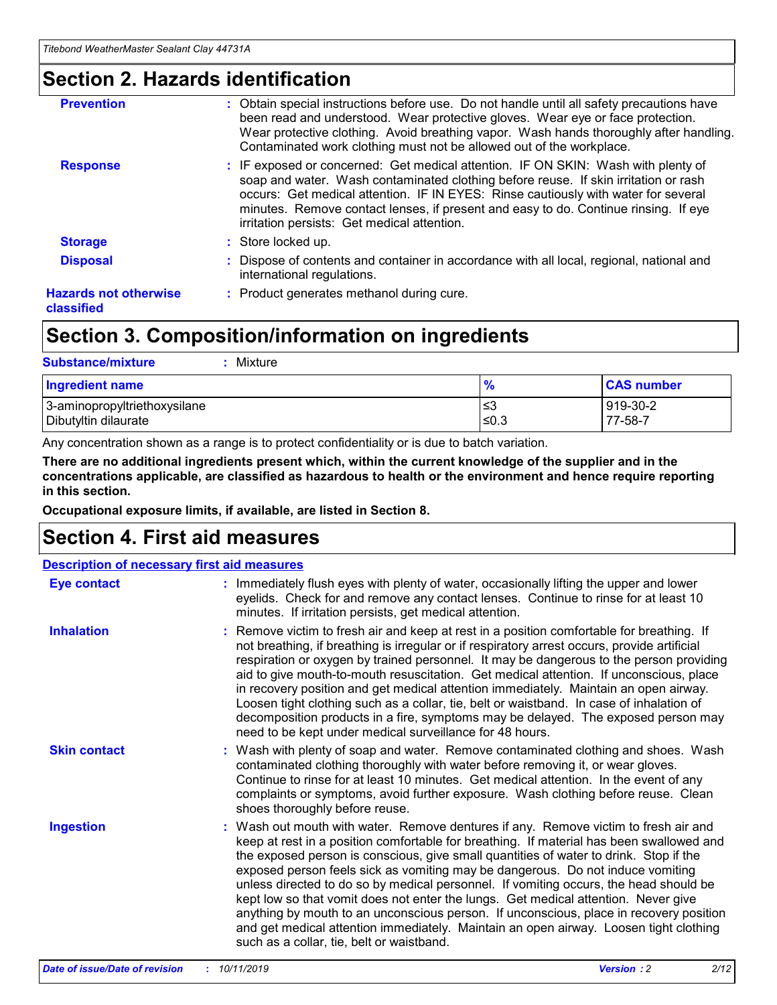### **Section 2. Hazards identification**

| <b>Prevention</b>                          | : Obtain special instructions before use. Do not handle until all safety precautions have<br>been read and understood. Wear protective gloves. Wear eye or face protection.<br>Wear protective clothing. Avoid breathing vapor. Wash hands thoroughly after handling.<br>Contaminated work clothing must not be allowed out of the workplace.                                                        |
|--------------------------------------------|------------------------------------------------------------------------------------------------------------------------------------------------------------------------------------------------------------------------------------------------------------------------------------------------------------------------------------------------------------------------------------------------------|
| <b>Response</b>                            | : IF exposed or concerned: Get medical attention. IF ON SKIN: Wash with plenty of<br>soap and water. Wash contaminated clothing before reuse. If skin irritation or rash<br>occurs: Get medical attention. IF IN EYES: Rinse cautiously with water for several<br>minutes. Remove contact lenses, if present and easy to do. Continue rinsing. If eye<br>irritation persists: Get medical attention. |
| <b>Storage</b>                             | : Store locked up.                                                                                                                                                                                                                                                                                                                                                                                   |
| <b>Disposal</b>                            | : Dispose of contents and container in accordance with all local, regional, national and<br>international regulations.                                                                                                                                                                                                                                                                               |
| <b>Hazards not otherwise</b><br>classified | : Product generates methanol during cure.                                                                                                                                                                                                                                                                                                                                                            |
|                                            |                                                                                                                                                                                                                                                                                                                                                                                                      |

### **Section 3. Composition/information on ingredients**

| <b>Substance/mixture</b><br>: Mixture                |               |                     |
|------------------------------------------------------|---------------|---------------------|
| Ingredient name                                      | $\frac{9}{6}$ | <b>CAS number</b>   |
| 3-aminopropyltriethoxysilane<br>Dibutyltin dilaurate | צ≥<br>≤0.3    | 919-30-2<br>77-58-7 |

Any concentration shown as a range is to protect confidentiality or is due to batch variation.

**There are no additional ingredients present which, within the current knowledge of the supplier and in the concentrations applicable, are classified as hazardous to health or the environment and hence require reporting in this section.**

**Occupational exposure limits, if available, are listed in Section 8.**

### **Section 4. First aid measures**

| <b>Description of necessary first aid measures</b> |                                                                                                                                                                                                                                                                                                                                                                                                                                                                                                                                                                                                                                                                                                                                                                           |  |  |  |
|----------------------------------------------------|---------------------------------------------------------------------------------------------------------------------------------------------------------------------------------------------------------------------------------------------------------------------------------------------------------------------------------------------------------------------------------------------------------------------------------------------------------------------------------------------------------------------------------------------------------------------------------------------------------------------------------------------------------------------------------------------------------------------------------------------------------------------------|--|--|--|
| <b>Eye contact</b>                                 | : Immediately flush eyes with plenty of water, occasionally lifting the upper and lower<br>eyelids. Check for and remove any contact lenses. Continue to rinse for at least 10<br>minutes. If irritation persists, get medical attention.                                                                                                                                                                                                                                                                                                                                                                                                                                                                                                                                 |  |  |  |
| <b>Inhalation</b>                                  | : Remove victim to fresh air and keep at rest in a position comfortable for breathing. If<br>not breathing, if breathing is irregular or if respiratory arrest occurs, provide artificial<br>respiration or oxygen by trained personnel. It may be dangerous to the person providing<br>aid to give mouth-to-mouth resuscitation. Get medical attention. If unconscious, place<br>in recovery position and get medical attention immediately. Maintain an open airway.<br>Loosen tight clothing such as a collar, tie, belt or waistband. In case of inhalation of<br>decomposition products in a fire, symptoms may be delayed. The exposed person may<br>need to be kept under medical surveillance for 48 hours.                                                       |  |  |  |
| <b>Skin contact</b>                                | : Wash with plenty of soap and water. Remove contaminated clothing and shoes. Wash<br>contaminated clothing thoroughly with water before removing it, or wear gloves.<br>Continue to rinse for at least 10 minutes. Get medical attention. In the event of any<br>complaints or symptoms, avoid further exposure. Wash clothing before reuse. Clean<br>shoes thoroughly before reuse.                                                                                                                                                                                                                                                                                                                                                                                     |  |  |  |
| <b>Ingestion</b>                                   | : Wash out mouth with water. Remove dentures if any. Remove victim to fresh air and<br>keep at rest in a position comfortable for breathing. If material has been swallowed and<br>the exposed person is conscious, give small quantities of water to drink. Stop if the<br>exposed person feels sick as vomiting may be dangerous. Do not induce vomiting<br>unless directed to do so by medical personnel. If vomiting occurs, the head should be<br>kept low so that vomit does not enter the lungs. Get medical attention. Never give<br>anything by mouth to an unconscious person. If unconscious, place in recovery position<br>and get medical attention immediately. Maintain an open airway. Loosen tight clothing<br>such as a collar, tie, belt or waistband. |  |  |  |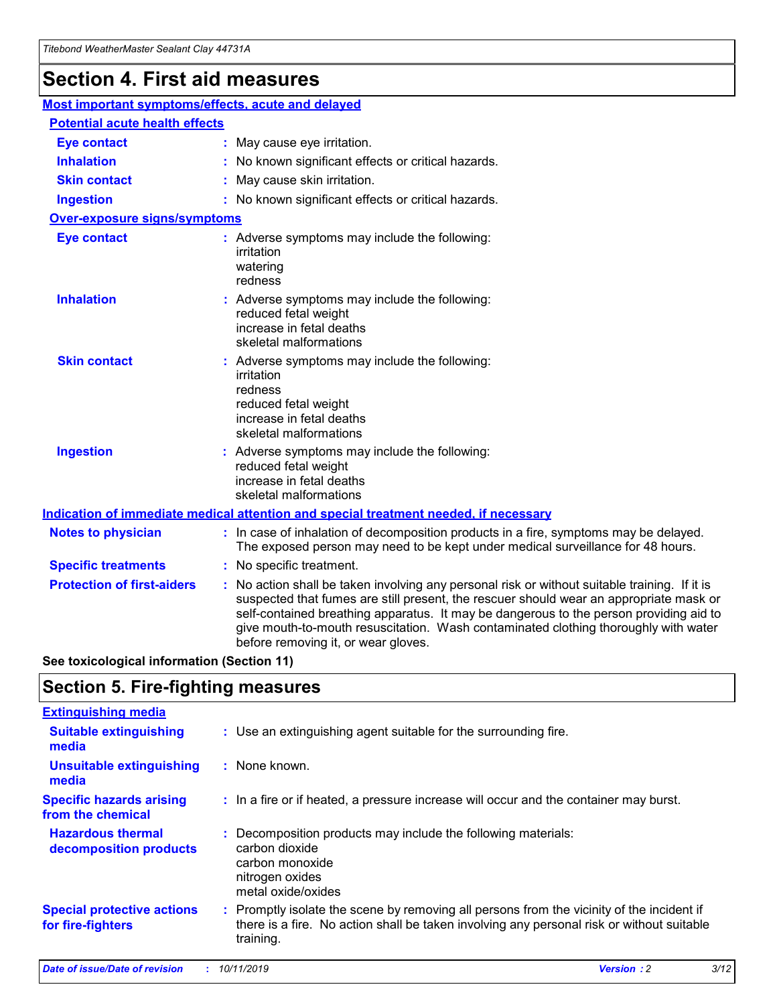## **Section 4. First aid measures**

| Most important symptoms/effects, acute and delayed |  |                                                                                                                                                                                                                                                                                                                                                                                                                 |  |  |
|----------------------------------------------------|--|-----------------------------------------------------------------------------------------------------------------------------------------------------------------------------------------------------------------------------------------------------------------------------------------------------------------------------------------------------------------------------------------------------------------|--|--|
| <b>Potential acute health effects</b>              |  |                                                                                                                                                                                                                                                                                                                                                                                                                 |  |  |
| <b>Eye contact</b>                                 |  | : May cause eye irritation.                                                                                                                                                                                                                                                                                                                                                                                     |  |  |
| <b>Inhalation</b>                                  |  | : No known significant effects or critical hazards.                                                                                                                                                                                                                                                                                                                                                             |  |  |
| <b>Skin contact</b>                                |  | : May cause skin irritation.                                                                                                                                                                                                                                                                                                                                                                                    |  |  |
| <b>Ingestion</b>                                   |  | : No known significant effects or critical hazards.                                                                                                                                                                                                                                                                                                                                                             |  |  |
| Over-exposure signs/symptoms                       |  |                                                                                                                                                                                                                                                                                                                                                                                                                 |  |  |
| <b>Eye contact</b>                                 |  | : Adverse symptoms may include the following:<br>irritation<br>watering<br>redness                                                                                                                                                                                                                                                                                                                              |  |  |
| <b>Inhalation</b>                                  |  | : Adverse symptoms may include the following:<br>reduced fetal weight<br>increase in fetal deaths<br>skeletal malformations                                                                                                                                                                                                                                                                                     |  |  |
| <b>Skin contact</b>                                |  | : Adverse symptoms may include the following:<br>irritation<br>redness<br>reduced fetal weight<br>increase in fetal deaths<br>skeletal malformations                                                                                                                                                                                                                                                            |  |  |
| <b>Ingestion</b>                                   |  | : Adverse symptoms may include the following:<br>reduced fetal weight<br>increase in fetal deaths<br>skeletal malformations                                                                                                                                                                                                                                                                                     |  |  |
|                                                    |  | <b>Indication of immediate medical attention and special treatment needed, if necessary</b>                                                                                                                                                                                                                                                                                                                     |  |  |
| <b>Notes to physician</b>                          |  | : In case of inhalation of decomposition products in a fire, symptoms may be delayed.<br>The exposed person may need to be kept under medical surveillance for 48 hours.                                                                                                                                                                                                                                        |  |  |
| <b>Specific treatments</b>                         |  | : No specific treatment.                                                                                                                                                                                                                                                                                                                                                                                        |  |  |
| <b>Protection of first-aiders</b>                  |  | : No action shall be taken involving any personal risk or without suitable training. If it is<br>suspected that fumes are still present, the rescuer should wear an appropriate mask or<br>self-contained breathing apparatus. It may be dangerous to the person providing aid to<br>give mouth-to-mouth resuscitation. Wash contaminated clothing thoroughly with water<br>before removing it, or wear gloves. |  |  |

**See toxicological information (Section 11)**

### **Section 5. Fire-fighting measures**

| <b>Extinguishing media</b>                             |                                                                                                                                                                                                     |
|--------------------------------------------------------|-----------------------------------------------------------------------------------------------------------------------------------------------------------------------------------------------------|
| <b>Suitable extinguishing</b><br>media                 | : Use an extinguishing agent suitable for the surrounding fire.                                                                                                                                     |
| <b>Unsuitable extinguishing</b><br>media               | : None known.                                                                                                                                                                                       |
| <b>Specific hazards arising</b><br>from the chemical   | : In a fire or if heated, a pressure increase will occur and the container may burst.                                                                                                               |
| <b>Hazardous thermal</b><br>decomposition products     | : Decomposition products may include the following materials:<br>carbon dioxide<br>carbon monoxide<br>nitrogen oxides<br>metal oxide/oxides                                                         |
| <b>Special protective actions</b><br>for fire-fighters | : Promptly isolate the scene by removing all persons from the vicinity of the incident if<br>there is a fire. No action shall be taken involving any personal risk or without suitable<br>training. |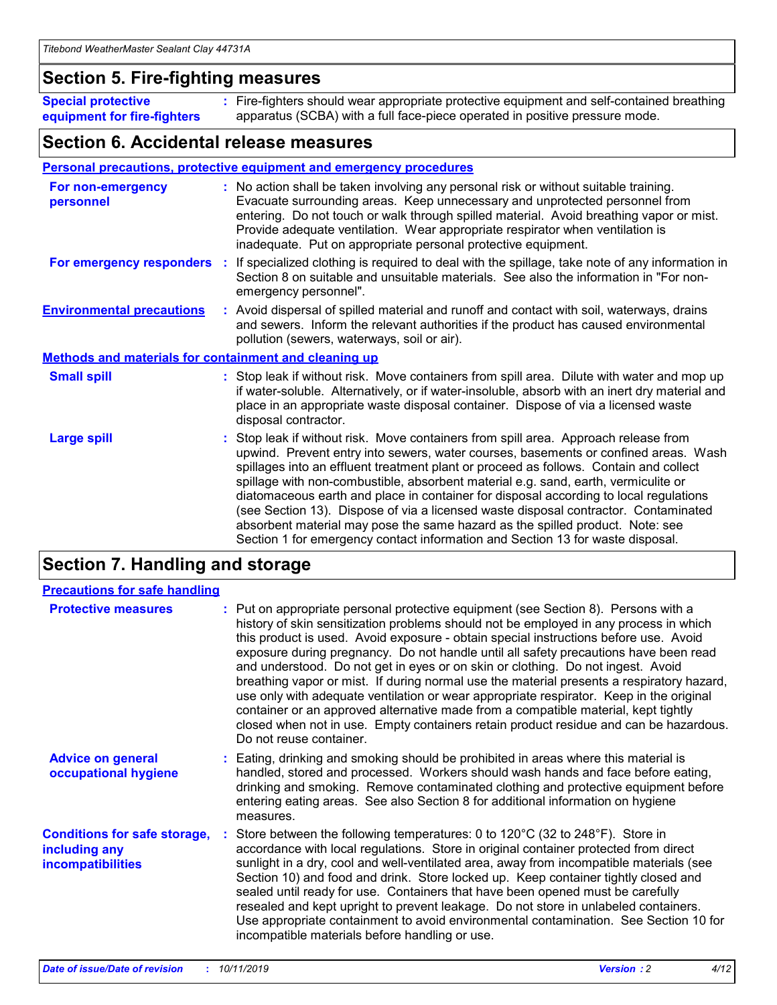### **Section 5. Fire-fighting measures**

**Special protective equipment for fire-fighters** Fire-fighters should wear appropriate protective equipment and self-contained breathing **:** apparatus (SCBA) with a full face-piece operated in positive pressure mode.

### **Section 6. Accidental release measures**

#### **Personal precautions, protective equipment and emergency procedures**

| For non-emergency<br>personnel                               | : No action shall be taken involving any personal risk or without suitable training.<br>Evacuate surrounding areas. Keep unnecessary and unprotected personnel from<br>entering. Do not touch or walk through spilled material. Avoid breathing vapor or mist.<br>Provide adequate ventilation. Wear appropriate respirator when ventilation is<br>inadequate. Put on appropriate personal protective equipment.                                                                                                                                                                                                                                                                                             |
|--------------------------------------------------------------|--------------------------------------------------------------------------------------------------------------------------------------------------------------------------------------------------------------------------------------------------------------------------------------------------------------------------------------------------------------------------------------------------------------------------------------------------------------------------------------------------------------------------------------------------------------------------------------------------------------------------------------------------------------------------------------------------------------|
| For emergency responders                                     | : If specialized clothing is required to deal with the spillage, take note of any information in<br>Section 8 on suitable and unsuitable materials. See also the information in "For non-<br>emergency personnel".                                                                                                                                                                                                                                                                                                                                                                                                                                                                                           |
| <b>Environmental precautions</b>                             | : Avoid dispersal of spilled material and runoff and contact with soil, waterways, drains<br>and sewers. Inform the relevant authorities if the product has caused environmental<br>pollution (sewers, waterways, soil or air).                                                                                                                                                                                                                                                                                                                                                                                                                                                                              |
| <b>Methods and materials for containment and cleaning up</b> |                                                                                                                                                                                                                                                                                                                                                                                                                                                                                                                                                                                                                                                                                                              |
| <b>Small spill</b>                                           | : Stop leak if without risk. Move containers from spill area. Dilute with water and mop up<br>if water-soluble. Alternatively, or if water-insoluble, absorb with an inert dry material and<br>place in an appropriate waste disposal container. Dispose of via a licensed waste<br>disposal contractor.                                                                                                                                                                                                                                                                                                                                                                                                     |
| <b>Large spill</b>                                           | : Stop leak if without risk. Move containers from spill area. Approach release from<br>upwind. Prevent entry into sewers, water courses, basements or confined areas. Wash<br>spillages into an effluent treatment plant or proceed as follows. Contain and collect<br>spillage with non-combustible, absorbent material e.g. sand, earth, vermiculite or<br>diatomaceous earth and place in container for disposal according to local regulations<br>(see Section 13). Dispose of via a licensed waste disposal contractor. Contaminated<br>absorbent material may pose the same hazard as the spilled product. Note: see<br>Section 1 for emergency contact information and Section 13 for waste disposal. |

### **Section 7. Handling and storage**

| <b>Precautions for safe handling</b>                                             |                                                                                                                                                                                                                                                                                                                                                                                                                                                                                                                                                                                                                                                                                                                                                                                                                                                  |
|----------------------------------------------------------------------------------|--------------------------------------------------------------------------------------------------------------------------------------------------------------------------------------------------------------------------------------------------------------------------------------------------------------------------------------------------------------------------------------------------------------------------------------------------------------------------------------------------------------------------------------------------------------------------------------------------------------------------------------------------------------------------------------------------------------------------------------------------------------------------------------------------------------------------------------------------|
| <b>Protective measures</b>                                                       | : Put on appropriate personal protective equipment (see Section 8). Persons with a<br>history of skin sensitization problems should not be employed in any process in which<br>this product is used. Avoid exposure - obtain special instructions before use. Avoid<br>exposure during pregnancy. Do not handle until all safety precautions have been read<br>and understood. Do not get in eyes or on skin or clothing. Do not ingest. Avoid<br>breathing vapor or mist. If during normal use the material presents a respiratory hazard,<br>use only with adequate ventilation or wear appropriate respirator. Keep in the original<br>container or an approved alternative made from a compatible material, kept tightly<br>closed when not in use. Empty containers retain product residue and can be hazardous.<br>Do not reuse container. |
| <b>Advice on general</b><br>occupational hygiene                                 | : Eating, drinking and smoking should be prohibited in areas where this material is<br>handled, stored and processed. Workers should wash hands and face before eating,<br>drinking and smoking. Remove contaminated clothing and protective equipment before<br>entering eating areas. See also Section 8 for additional information on hygiene<br>measures.                                                                                                                                                                                                                                                                                                                                                                                                                                                                                    |
| <b>Conditions for safe storage,</b><br>including any<br><b>incompatibilities</b> | Store between the following temperatures: 0 to 120°C (32 to 248°F). Store in<br>accordance with local regulations. Store in original container protected from direct<br>sunlight in a dry, cool and well-ventilated area, away from incompatible materials (see<br>Section 10) and food and drink. Store locked up. Keep container tightly closed and<br>sealed until ready for use. Containers that have been opened must be carefully<br>resealed and kept upright to prevent leakage. Do not store in unlabeled containers.<br>Use appropriate containment to avoid environmental contamination. See Section 10 for<br>incompatible materials before handling or use.                                                                                                                                                                         |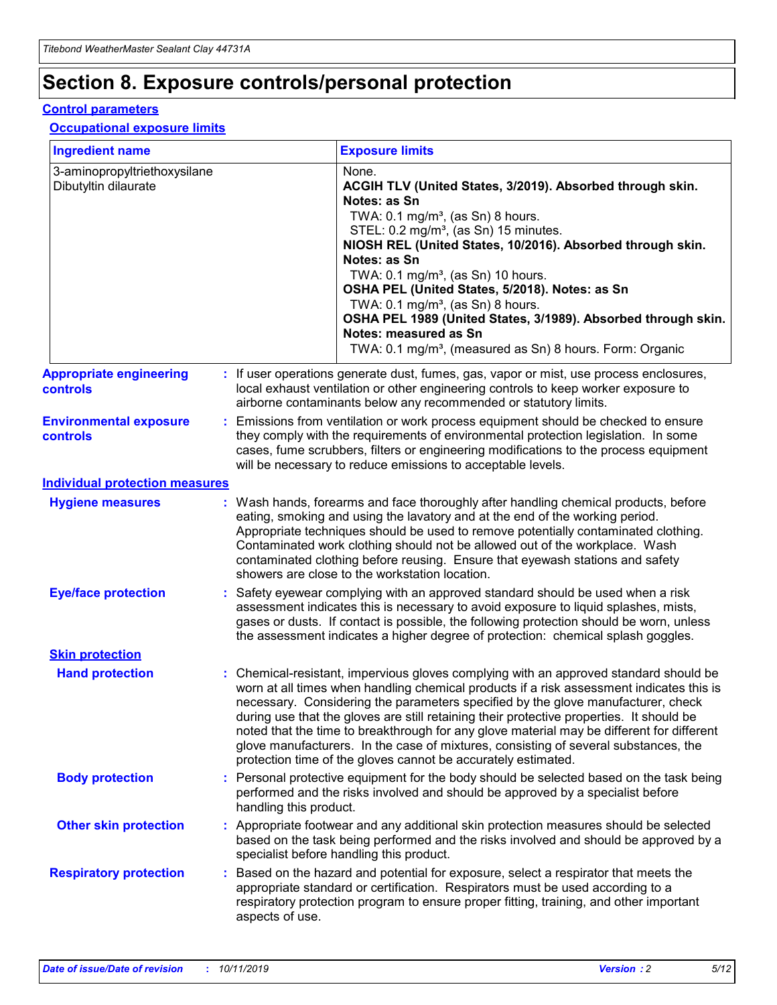## **Section 8. Exposure controls/personal protection**

#### **Control parameters**

#### **Occupational exposure limits**

| <b>Ingredient name</b>                               |    |                        | <b>Exposure limits</b>                                                                                                                                                                                                                                                                                                                                                                                                                                                                                                                                                                                                 |
|------------------------------------------------------|----|------------------------|------------------------------------------------------------------------------------------------------------------------------------------------------------------------------------------------------------------------------------------------------------------------------------------------------------------------------------------------------------------------------------------------------------------------------------------------------------------------------------------------------------------------------------------------------------------------------------------------------------------------|
| 3-aminopropyltriethoxysilane<br>Dibutyltin dilaurate |    |                        | None.<br>ACGIH TLV (United States, 3/2019). Absorbed through skin.<br>Notes: as Sn<br>TWA: $0.1 \text{ mg/m}^3$ , (as Sn) 8 hours.<br>STEL: 0.2 mg/m <sup>3</sup> , (as Sn) 15 minutes.<br>NIOSH REL (United States, 10/2016). Absorbed through skin.<br>Notes: as Sn<br>TWA: 0.1 mg/m <sup>3</sup> , (as Sn) 10 hours.<br>OSHA PEL (United States, 5/2018). Notes: as Sn<br>TWA: 0.1 mg/m <sup>3</sup> , (as Sn) 8 hours.<br>OSHA PEL 1989 (United States, 3/1989). Absorbed through skin.<br>Notes: measured as Sn<br>TWA: 0.1 mg/m <sup>3</sup> , (measured as Sn) 8 hours. Form: Organic                           |
| <b>Appropriate engineering</b><br>controls           |    |                        | : If user operations generate dust, fumes, gas, vapor or mist, use process enclosures,<br>local exhaust ventilation or other engineering controls to keep worker exposure to<br>airborne contaminants below any recommended or statutory limits.                                                                                                                                                                                                                                                                                                                                                                       |
| <b>Environmental exposure</b><br>controls            |    |                        | Emissions from ventilation or work process equipment should be checked to ensure<br>they comply with the requirements of environmental protection legislation. In some<br>cases, fume scrubbers, filters or engineering modifications to the process equipment<br>will be necessary to reduce emissions to acceptable levels.                                                                                                                                                                                                                                                                                          |
| <b>Individual protection measures</b>                |    |                        |                                                                                                                                                                                                                                                                                                                                                                                                                                                                                                                                                                                                                        |
| <b>Hygiene measures</b>                              |    |                        | : Wash hands, forearms and face thoroughly after handling chemical products, before<br>eating, smoking and using the lavatory and at the end of the working period.<br>Appropriate techniques should be used to remove potentially contaminated clothing.<br>Contaminated work clothing should not be allowed out of the workplace. Wash<br>contaminated clothing before reusing. Ensure that eyewash stations and safety<br>showers are close to the workstation location.                                                                                                                                            |
| <b>Eye/face protection</b>                           |    |                        | Safety eyewear complying with an approved standard should be used when a risk<br>assessment indicates this is necessary to avoid exposure to liquid splashes, mists,<br>gases or dusts. If contact is possible, the following protection should be worn, unless<br>the assessment indicates a higher degree of protection: chemical splash goggles.                                                                                                                                                                                                                                                                    |
| <b>Skin protection</b>                               |    |                        |                                                                                                                                                                                                                                                                                                                                                                                                                                                                                                                                                                                                                        |
| <b>Hand protection</b>                               |    |                        | : Chemical-resistant, impervious gloves complying with an approved standard should be<br>worn at all times when handling chemical products if a risk assessment indicates this is<br>necessary. Considering the parameters specified by the glove manufacturer, check<br>during use that the gloves are still retaining their protective properties. It should be<br>noted that the time to breakthrough for any glove material may be different for different<br>glove manufacturers. In the case of mixtures, consisting of several substances, the<br>protection time of the gloves cannot be accurately estimated. |
| <b>Body protection</b>                               |    | handling this product. | Personal protective equipment for the body should be selected based on the task being<br>performed and the risks involved and should be approved by a specialist before                                                                                                                                                                                                                                                                                                                                                                                                                                                |
| <b>Other skin protection</b>                         |    |                        | : Appropriate footwear and any additional skin protection measures should be selected<br>based on the task being performed and the risks involved and should be approved by a<br>specialist before handling this product.                                                                                                                                                                                                                                                                                                                                                                                              |
| <b>Respiratory protection</b>                        | ÷. | aspects of use.        | Based on the hazard and potential for exposure, select a respirator that meets the<br>appropriate standard or certification. Respirators must be used according to a<br>respiratory protection program to ensure proper fitting, training, and other important                                                                                                                                                                                                                                                                                                                                                         |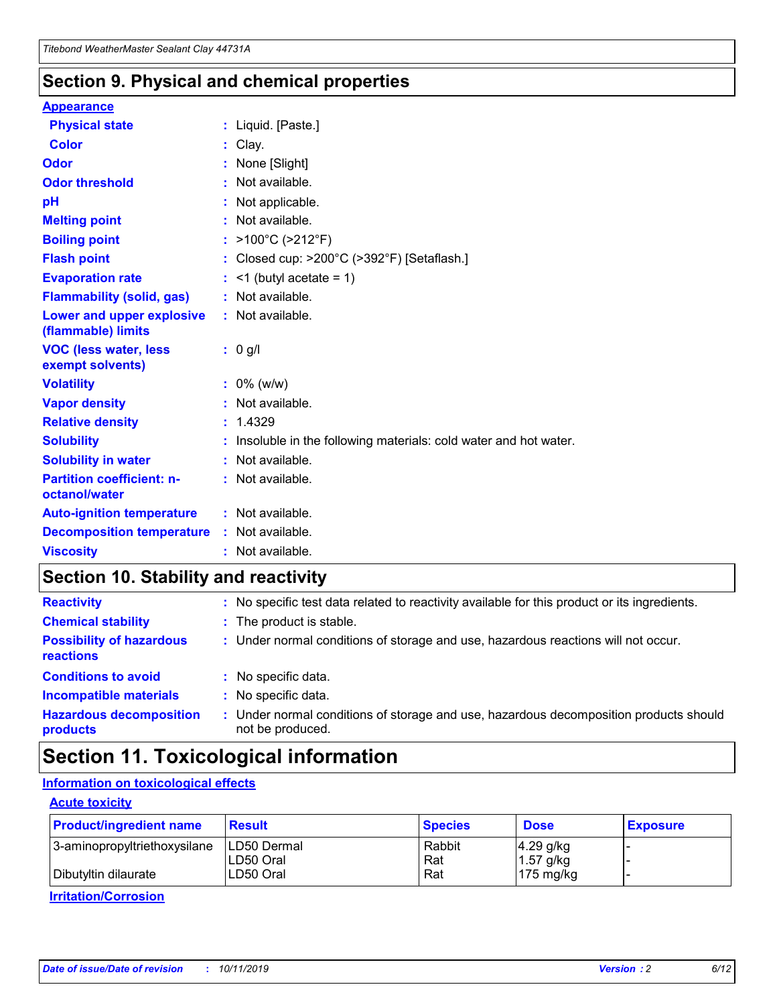### **Section 9. Physical and chemical properties**

#### **Appearance**

| <b>Physical state</b>                             | : Liquid. [Paste.]                                              |
|---------------------------------------------------|-----------------------------------------------------------------|
| Color                                             | Clay.                                                           |
| Odor                                              | : None [Slight]                                                 |
| <b>Odor threshold</b>                             | : Not available.                                                |
| рH                                                | : Not applicable.                                               |
| <b>Melting point</b>                              | : Not available.                                                |
| <b>Boiling point</b>                              | : >100°C (>212°F)                                               |
| <b>Flash point</b>                                | : Closed cup: >200°C (>392°F) [Setaflash.]                      |
| <b>Evaporation rate</b>                           | $:$ <1 (butyl acetate = 1)                                      |
| <b>Flammability (solid, gas)</b>                  | : Not available.                                                |
| Lower and upper explosive<br>(flammable) limits   | : Not available.                                                |
| <b>VOC (less water, less</b><br>exempt solvents)  | : 0 g/l                                                         |
| <b>Volatility</b>                                 | $: 0\%$ (w/w)                                                   |
| <b>Vapor density</b>                              | : Not available.                                                |
| <b>Relative density</b>                           | : 1.4329                                                        |
| <b>Solubility</b>                                 | Insoluble in the following materials: cold water and hot water. |
| <b>Solubility in water</b>                        | : Not available.                                                |
| <b>Partition coefficient: n-</b><br>octanol/water | $:$ Not available.                                              |
| <b>Auto-ignition temperature</b>                  | : Not available.                                                |
| <b>Decomposition temperature</b>                  | : Not available.                                                |
| <b>Viscosity</b>                                  |                                                                 |

### **Section 10. Stability and reactivity**

| <b>Reactivity</b>                            |    | : No specific test data related to reactivity available for this product or its ingredients.            |
|----------------------------------------------|----|---------------------------------------------------------------------------------------------------------|
| <b>Chemical stability</b>                    |    | : The product is stable.                                                                                |
| <b>Possibility of hazardous</b><br>reactions |    | : Under normal conditions of storage and use, hazardous reactions will not occur.                       |
| <b>Conditions to avoid</b>                   |    | : No specific data.                                                                                     |
| <b>Incompatible materials</b>                | ٠. | No specific data.                                                                                       |
| <b>Hazardous decomposition</b><br>products   | ÷. | Under normal conditions of storage and use, hazardous decomposition products should<br>not be produced. |

### **Section 11. Toxicological information**

### **Information on toxicological effects**

#### **Acute toxicity**

| <b>Product/ingredient name</b> | <b>Result</b>           | <b>Species</b> | <b>Dose</b>                | <b>Exposure</b> |
|--------------------------------|-------------------------|----------------|----------------------------|-----------------|
| 3-aminopropyltriethoxysilane   | <b>ILD50 Dermal</b>     | Rabbit         | 4.29 g/kg                  |                 |
| Dibutyltin dilaurate           | ILD50 Oral<br>LD50 Oral | Rat<br>Rat     | $1.57$ g/kg<br>175 $mg/kg$ |                 |
|                                |                         |                |                            |                 |

**Irritation/Corrosion**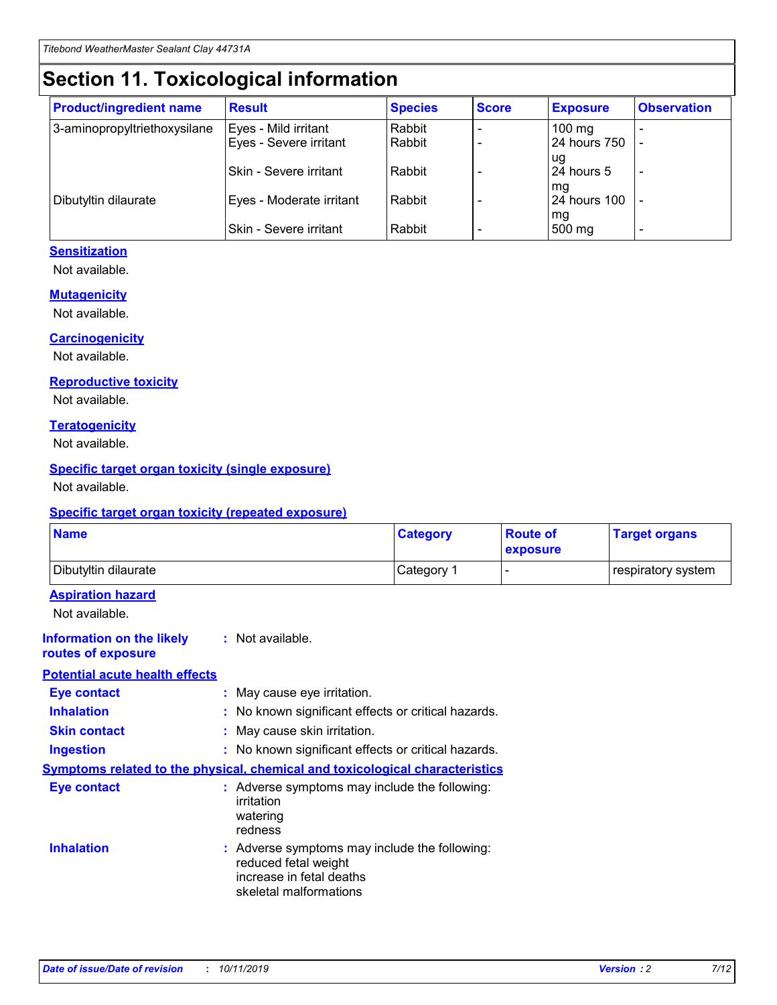## **Section 11. Toxicological information**

| <b>Product/ingredient name</b> | <b>Result</b>            | <b>Species</b> | <b>Score</b> | <b>Exposure</b>           | <b>Observation</b> |
|--------------------------------|--------------------------|----------------|--------------|---------------------------|--------------------|
| 3-aminopropyltriethoxysilane   | Eyes - Mild irritant     | Rabbit         |              | $100$ mg                  |                    |
|                                | Eyes - Severe irritant   | Rabbit         |              | 24 hours 750              |                    |
|                                |                          |                |              | ug                        |                    |
|                                | Skin - Severe irritant   | Rabbit         |              | 24 hours 5                | -                  |
| Dibutyltin dilaurate           | Eyes - Moderate irritant | Rabbit         |              | mq<br><b>24 hours 100</b> |                    |
|                                |                          |                |              | mg                        |                    |
|                                | Skin - Severe irritant   | Rabbit         |              | 500 mg                    |                    |

#### **Sensitization**

Not available.

#### **Mutagenicity**

Not available.

#### **Carcinogenicity**

Not available.

#### **Reproductive toxicity**

Not available.

#### **Teratogenicity**

Not available.

#### **Specific target organ toxicity (single exposure)**

Not available.

#### **Specific target organ toxicity (repeated exposure)**

| <b>Name</b>                                                                         |                                                                            | <b>Category</b>                                     | <b>Route of</b><br>exposure | <b>Target organs</b> |
|-------------------------------------------------------------------------------------|----------------------------------------------------------------------------|-----------------------------------------------------|-----------------------------|----------------------|
| Dibutyltin dilaurate                                                                |                                                                            | Category 1                                          | -                           | respiratory system   |
| <b>Aspiration hazard</b><br>Not available.                                          |                                                                            |                                                     |                             |                      |
| <b>Information on the likely</b><br>routes of exposure                              | : Not available.                                                           |                                                     |                             |                      |
| <b>Potential acute health effects</b>                                               |                                                                            |                                                     |                             |                      |
| <b>Eye contact</b>                                                                  | : May cause eye irritation.                                                |                                                     |                             |                      |
| <b>Inhalation</b>                                                                   |                                                                            | : No known significant effects or critical hazards. |                             |                      |
| <b>Skin contact</b>                                                                 | : May cause skin irritation.                                               |                                                     |                             |                      |
| <b>Ingestion</b>                                                                    |                                                                            | : No known significant effects or critical hazards. |                             |                      |
| <b>Symptoms related to the physical, chemical and toxicological characteristics</b> |                                                                            |                                                     |                             |                      |
| <b>Eye contact</b>                                                                  | irritation<br>watering<br>redness                                          | : Adverse symptoms may include the following:       |                             |                      |
| <b>Inhalation</b>                                                                   | reduced fetal weight<br>increase in fetal deaths<br>skeletal malformations | : Adverse symptoms may include the following:       |                             |                      |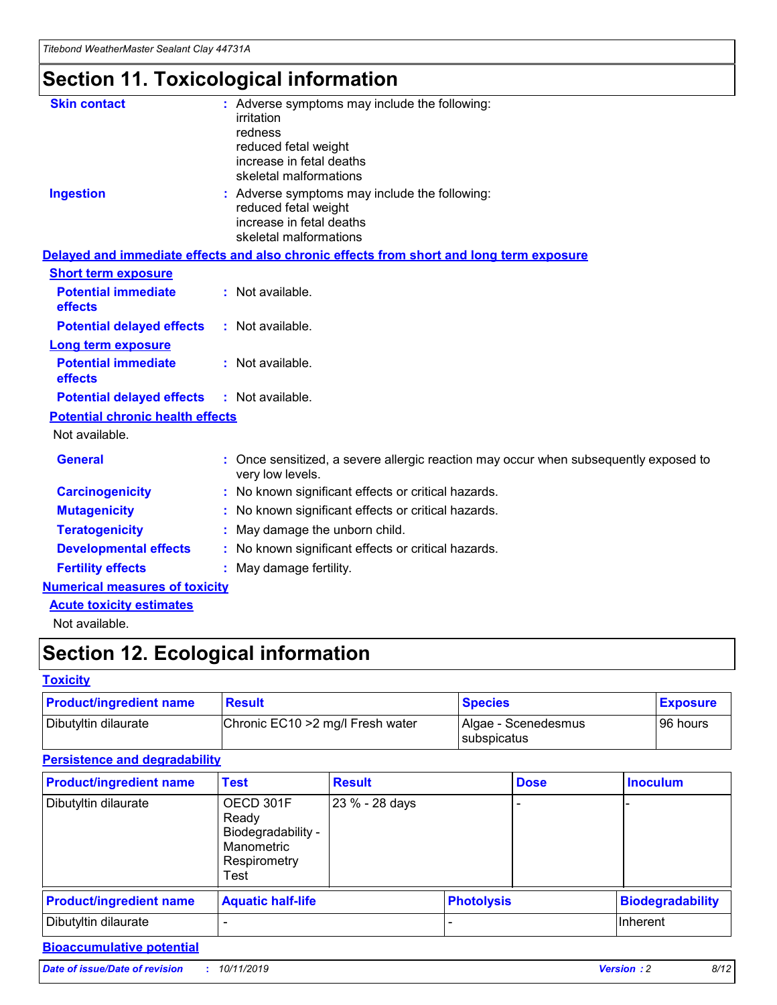## **Section 11. Toxicological information**

| <b>Skin contact</b>                     | : Adverse symptoms may include the following:<br>irritation<br>redness<br>reduced fetal weight<br>increase in fetal deaths<br>skeletal malformations |
|-----------------------------------------|------------------------------------------------------------------------------------------------------------------------------------------------------|
| <b>Ingestion</b>                        | : Adverse symptoms may include the following:<br>reduced fetal weight<br>increase in fetal deaths<br>skeletal malformations                          |
|                                         | Delayed and immediate effects and also chronic effects from short and long term exposure                                                             |
| <b>Short term exposure</b>              |                                                                                                                                                      |
| <b>Potential immediate</b><br>effects   | : Not available.                                                                                                                                     |
| <b>Potential delayed effects</b>        | : Not available.                                                                                                                                     |
| <b>Long term exposure</b>               |                                                                                                                                                      |
| <b>Potential immediate</b><br>effects   | : Not available.                                                                                                                                     |
| <b>Potential delayed effects</b>        | : Not available.                                                                                                                                     |
| <b>Potential chronic health effects</b> |                                                                                                                                                      |
| Not available.                          |                                                                                                                                                      |
| <b>General</b>                          | : Once sensitized, a severe allergic reaction may occur when subsequently exposed to<br>very low levels.                                             |
| <b>Carcinogenicity</b>                  | : No known significant effects or critical hazards.                                                                                                  |
| <b>Mutagenicity</b>                     | No known significant effects or critical hazards.                                                                                                    |
| <b>Teratogenicity</b>                   | May damage the unborn child.                                                                                                                         |
| <b>Developmental effects</b>            | No known significant effects or critical hazards.                                                                                                    |
| <b>Fertility effects</b>                | : May damage fertility.                                                                                                                              |
| <b>Numerical measures of toxicity</b>   |                                                                                                                                                      |
| <b>Acute toxicity estimates</b>         |                                                                                                                                                      |
|                                         |                                                                                                                                                      |

Not available.

## **Section 12. Ecological information**

#### **Toxicity**

| <b>Product/ingredient name</b> | <b>Result</b>                     | <b>Species</b>                       | <b>Exposure</b> |
|--------------------------------|-----------------------------------|--------------------------------------|-----------------|
| Dibutyltin dilaurate           | Chronic EC10 > 2 mg/l Fresh water | Algae - Scenedesmus<br>I subspicatus | l 96 hours i    |

#### **Persistence and degradability**

| <b>Product/ingredient name</b> | Test                                                                           | <b>Result</b>  |                   | <b>Dose</b> | <b>Inoculum</b>         |
|--------------------------------|--------------------------------------------------------------------------------|----------------|-------------------|-------------|-------------------------|
| Dibutyltin dilaurate           | OECD 301F<br>Ready<br>Biodegradability -<br>Manometric<br>Respirometry<br>Test | 23 % - 28 days |                   |             |                         |
| <b>Product/ingredient name</b> | <b>Aquatic half-life</b>                                                       |                | <b>Photolysis</b> |             | <b>Biodegradability</b> |
| Dibutyltin dilaurate           |                                                                                |                |                   |             | Inherent                |

### **Bioaccumulative potential**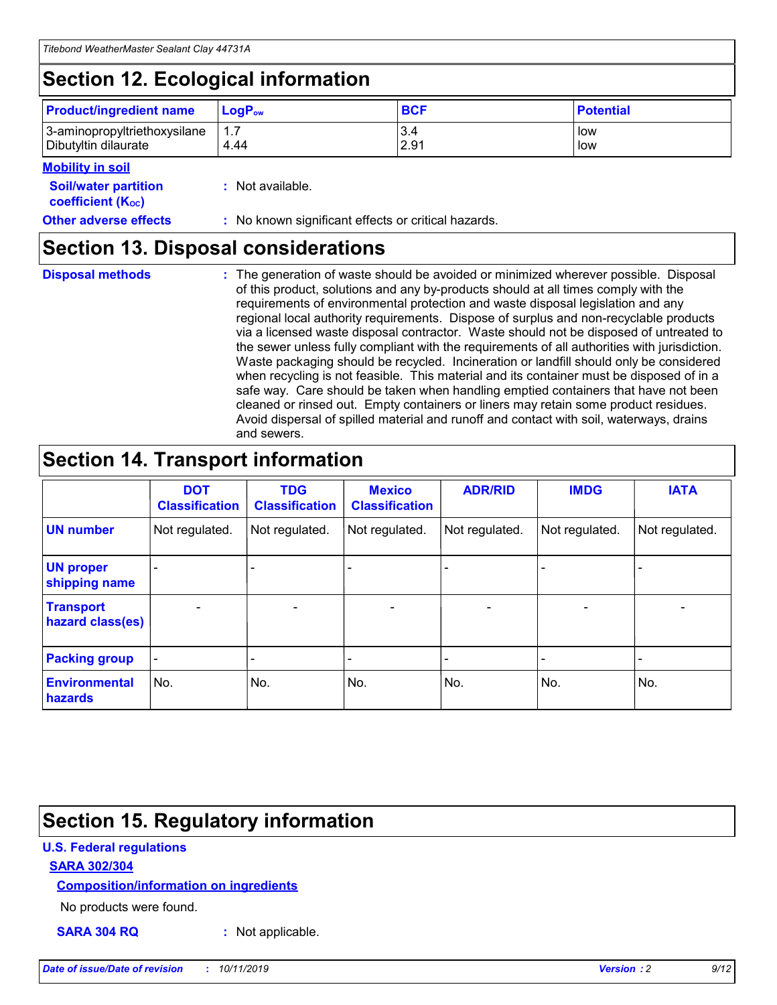## **Section 12. Ecological information**

| <b>Product/ingredient name</b>                       | ∣LoqP <sub>ow</sub> | <b>BCF</b>  | <b>Potential</b> |
|------------------------------------------------------|---------------------|-------------|------------------|
| 3-aminopropyltriethoxysilane<br>Dibutyltin dilaurate | 4.44                | 3.4<br>2.91 | low<br>low       |

#### **Mobility in soil**

| <i></i>                                                       |                                                     |
|---------------------------------------------------------------|-----------------------------------------------------|
| <b>Soil/water partition</b><br>coefficient (K <sub>oc</sub> ) | : Not available.                                    |
| <b>Other adverse effects</b>                                  | : No known significant effects or critical hazards. |

### **Section 13. Disposal considerations**

**Disposal methods :**

The generation of waste should be avoided or minimized wherever possible. Disposal of this product, solutions and any by-products should at all times comply with the requirements of environmental protection and waste disposal legislation and any regional local authority requirements. Dispose of surplus and non-recyclable products via a licensed waste disposal contractor. Waste should not be disposed of untreated to the sewer unless fully compliant with the requirements of all authorities with jurisdiction. Waste packaging should be recycled. Incineration or landfill should only be considered when recycling is not feasible. This material and its container must be disposed of in a safe way. Care should be taken when handling emptied containers that have not been cleaned or rinsed out. Empty containers or liners may retain some product residues. Avoid dispersal of spilled material and runoff and contact with soil, waterways, drains and sewers.

## **Section 14. Transport information**

|                                      | <b>DOT</b><br><b>Classification</b> | <b>TDG</b><br><b>Classification</b> | <b>Mexico</b><br><b>Classification</b> | <b>ADR/RID</b>           | <b>IMDG</b>              | <b>IATA</b>              |
|--------------------------------------|-------------------------------------|-------------------------------------|----------------------------------------|--------------------------|--------------------------|--------------------------|
| <b>UN number</b>                     | Not regulated.                      | Not regulated.                      | Not regulated.                         | Not regulated.           | Not regulated.           | Not regulated.           |
| <b>UN proper</b><br>shipping name    | $\qquad \qquad \blacksquare$        |                                     |                                        |                          |                          |                          |
| <b>Transport</b><br>hazard class(es) | $\blacksquare$                      | $\blacksquare$                      | $\blacksquare$                         | $\overline{\phantom{a}}$ | $\blacksquare$           | $\blacksquare$           |
| <b>Packing group</b>                 | $\overline{\phantom{a}}$            | $\overline{\phantom{0}}$            | $\overline{\phantom{0}}$               | -                        | $\overline{\phantom{0}}$ | $\overline{\phantom{a}}$ |
| <b>Environmental</b><br>hazards      | No.                                 | No.                                 | No.                                    | No.                      | No.                      | No.                      |

## **Section 15. Regulatory information**

#### **U.S. Federal regulations**

#### **SARA 302/304**

#### **Composition/information on ingredients**

No products were found.

**SARA 304 RQ :** Not applicable.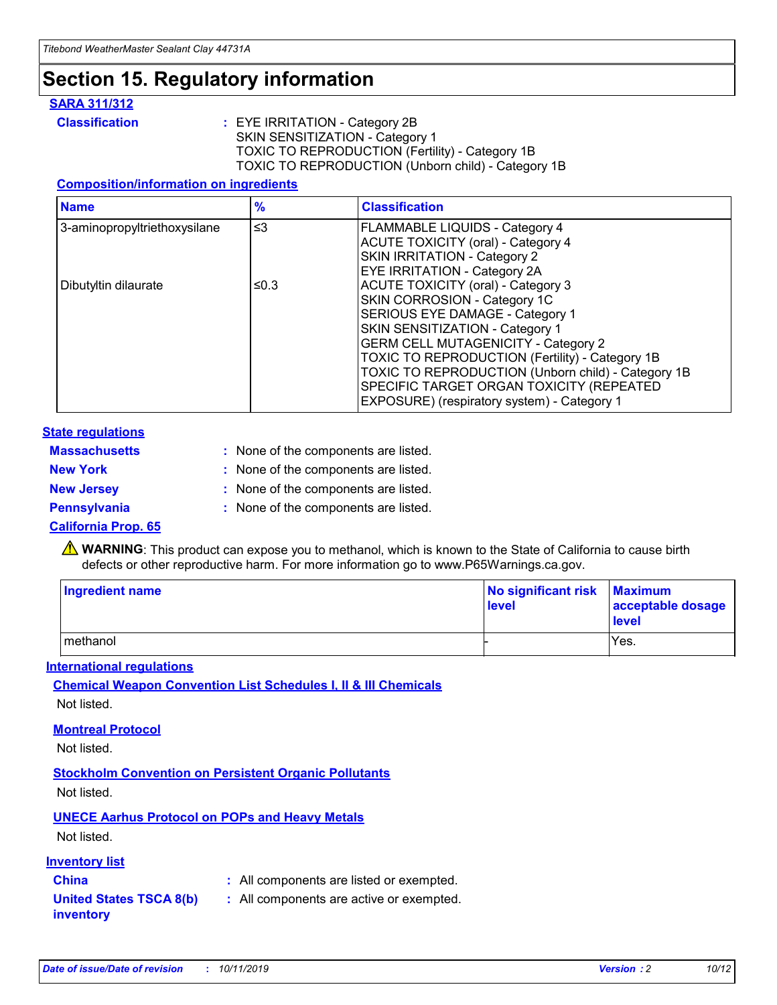### **Section 15. Regulatory information**

#### **SARA 311/312**

**Classification :** EYE IRRITATION - Category 2B SKIN SENSITIZATION - Category 1 TOXIC TO REPRODUCTION (Fertility) - Category 1B TOXIC TO REPRODUCTION (Unborn child) - Category 1B

#### **Composition/information on ingredients**

| <b>Name</b>                  | $\frac{9}{6}$ | <b>Classification</b>                                                                                            |
|------------------------------|---------------|------------------------------------------------------------------------------------------------------------------|
| 3-aminopropyltriethoxysilane | $\leq$ 3      | <b>FLAMMABLE LIQUIDS - Category 4</b><br><b>ACUTE TOXICITY (oral) - Category 4</b>                               |
|                              |               | SKIN IRRITATION - Category 2<br>EYE IRRITATION - Category 2A                                                     |
| Dibutyltin dilaurate         | ≤0.3          | ACUTE TOXICITY (oral) - Category 3<br>SKIN CORROSION - Category 1C                                               |
|                              |               | SERIOUS EYE DAMAGE - Category 1<br>SKIN SENSITIZATION - Category 1<br><b>GERM CELL MUTAGENICITY - Category 2</b> |
|                              |               | TOXIC TO REPRODUCTION (Fertility) - Category 1B<br>TOXIC TO REPRODUCTION (Unborn child) - Category 1B            |
|                              |               | SPECIFIC TARGET ORGAN TOXICITY (REPEATED<br>EXPOSURE) (respiratory system) - Category 1                          |

#### **State regulations**

| <b>Massachusetts</b> | : None of the components are listed. |
|----------------------|--------------------------------------|
| <b>New York</b>      | : None of the components are listed. |
| <b>New Jersey</b>    | : None of the components are listed. |
| <b>Pennsylvania</b>  | : None of the components are listed. |

#### **California Prop. 65**

**A** WARNING: This product can expose you to methanol, which is known to the State of California to cause birth defects or other reproductive harm. For more information go to www.P65Warnings.ca.gov.

| <b>Ingredient name</b> | No significant risk Maximum<br>level | acceptable dosage<br>level |
|------------------------|--------------------------------------|----------------------------|
| methanol               |                                      | Yes.                       |

#### **International regulations**

**Chemical Weapon Convention List Schedules I, II & III Chemicals** Not listed.

#### **Montreal Protocol**

Not listed.

**Stockholm Convention on Persistent Organic Pollutants**

Not listed.

### **UNECE Aarhus Protocol on POPs and Heavy Metals**

Not listed.

#### **Inventory list**

### **China :** All components are listed or exempted.

**United States TSCA 8(b) inventory :** All components are active or exempted.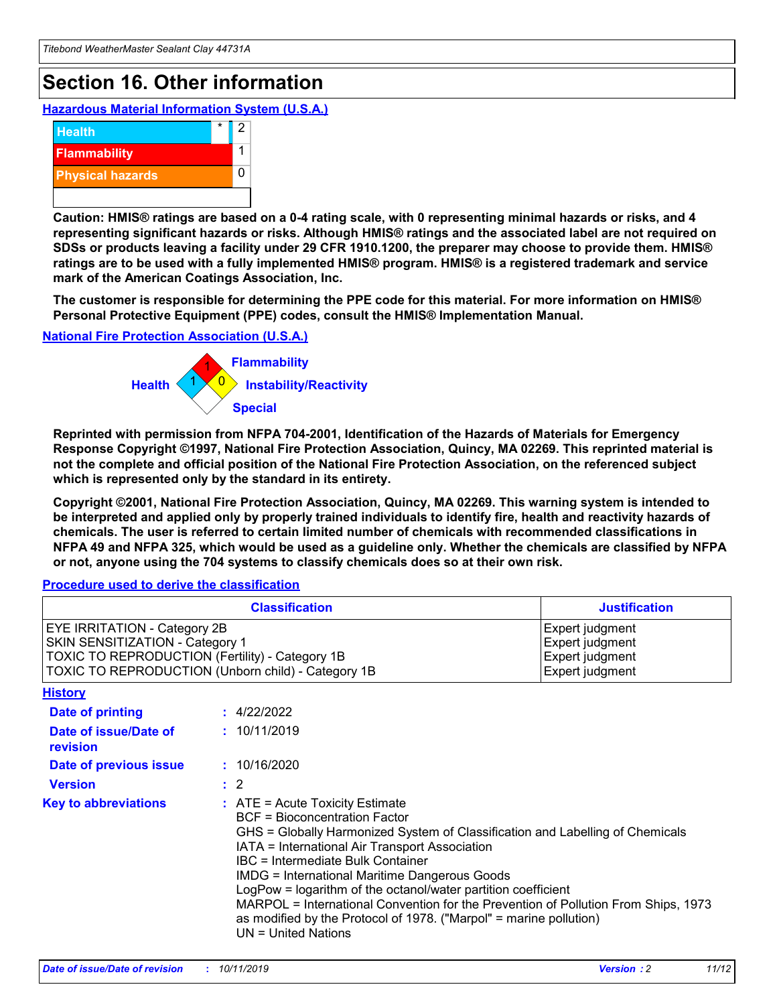## **Section 16. Other information**

**Hazardous Material Information System (U.S.A.)**



**Caution: HMIS® ratings are based on a 0-4 rating scale, with 0 representing minimal hazards or risks, and 4 representing significant hazards or risks. Although HMIS® ratings and the associated label are not required on SDSs or products leaving a facility under 29 CFR 1910.1200, the preparer may choose to provide them. HMIS® ratings are to be used with a fully implemented HMIS® program. HMIS® is a registered trademark and service mark of the American Coatings Association, Inc.**

**The customer is responsible for determining the PPE code for this material. For more information on HMIS® Personal Protective Equipment (PPE) codes, consult the HMIS® Implementation Manual.**

#### **National Fire Protection Association (U.S.A.)**



**Reprinted with permission from NFPA 704-2001, Identification of the Hazards of Materials for Emergency Response Copyright ©1997, National Fire Protection Association, Quincy, MA 02269. This reprinted material is not the complete and official position of the National Fire Protection Association, on the referenced subject which is represented only by the standard in its entirety.**

**Copyright ©2001, National Fire Protection Association, Quincy, MA 02269. This warning system is intended to be interpreted and applied only by properly trained individuals to identify fire, health and reactivity hazards of chemicals. The user is referred to certain limited number of chemicals with recommended classifications in NFPA 49 and NFPA 325, which would be used as a guideline only. Whether the chemicals are classified by NFPA or not, anyone using the 704 systems to classify chemicals does so at their own risk.**

#### **Procedure used to derive the classification**

| <b>Classification</b>                                                                                                                                                    |                                                                                                                                                                                                                                                                                                                                                                                                                                                                                                                                                               | <b>Justification</b>                                                     |
|--------------------------------------------------------------------------------------------------------------------------------------------------------------------------|---------------------------------------------------------------------------------------------------------------------------------------------------------------------------------------------------------------------------------------------------------------------------------------------------------------------------------------------------------------------------------------------------------------------------------------------------------------------------------------------------------------------------------------------------------------|--------------------------------------------------------------------------|
| EYE IRRITATION - Category 2B<br>SKIN SENSITIZATION - Category 1<br>TOXIC TO REPRODUCTION (Fertility) - Category 1B<br>TOXIC TO REPRODUCTION (Unborn child) - Category 1B |                                                                                                                                                                                                                                                                                                                                                                                                                                                                                                                                                               | Expert judgment<br>Expert judgment<br>Expert judgment<br>Expert judgment |
| <b>History</b>                                                                                                                                                           |                                                                                                                                                                                                                                                                                                                                                                                                                                                                                                                                                               |                                                                          |
| <b>Date of printing</b>                                                                                                                                                  | : 4/22/2022                                                                                                                                                                                                                                                                                                                                                                                                                                                                                                                                                   |                                                                          |
| Date of issue/Date of<br>revision                                                                                                                                        | : 10/11/2019                                                                                                                                                                                                                                                                                                                                                                                                                                                                                                                                                  |                                                                          |
| Date of previous issue                                                                                                                                                   | : 10/16/2020                                                                                                                                                                                                                                                                                                                                                                                                                                                                                                                                                  |                                                                          |
| <b>Version</b>                                                                                                                                                           | $\therefore$ 2                                                                                                                                                                                                                                                                                                                                                                                                                                                                                                                                                |                                                                          |
| <b>Key to abbreviations</b>                                                                                                                                              | $:$ ATE = Acute Toxicity Estimate<br><b>BCF</b> = Bioconcentration Factor<br>GHS = Globally Harmonized System of Classification and Labelling of Chemicals<br>IATA = International Air Transport Association<br>IBC = Intermediate Bulk Container<br><b>IMDG = International Maritime Dangerous Goods</b><br>LogPow = logarithm of the octanol/water partition coefficient<br>MARPOL = International Convention for the Prevention of Pollution From Ships, 1973<br>as modified by the Protocol of 1978. ("Marpol" = marine pollution)<br>UN = United Nations |                                                                          |